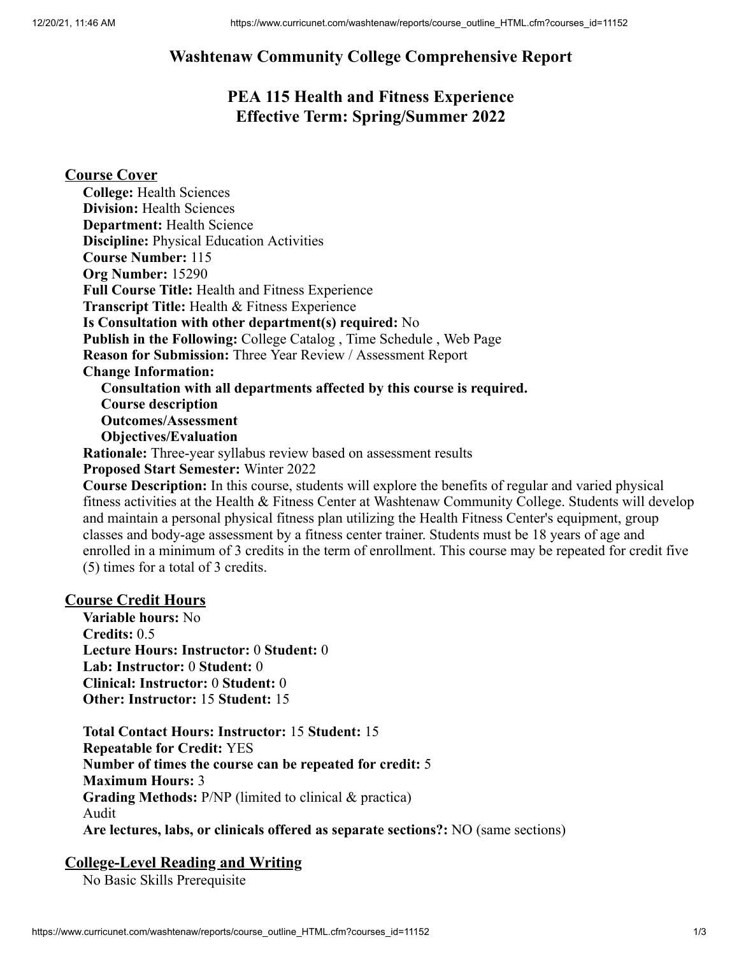# **Washtenaw Community College Comprehensive Report**

# **PEA 115 Health and Fitness Experience Effective Term: Spring/Summer 2022**

## **Course Cover**

| <b>College: Health Sciences</b>                                          |
|--------------------------------------------------------------------------|
| <b>Division: Health Sciences</b>                                         |
| <b>Department: Health Science</b>                                        |
| <b>Discipline:</b> Physical Education Activities                         |
| <b>Course Number: 115</b>                                                |
| Org Number: 15290                                                        |
| <b>Full Course Title: Health and Fitness Experience</b>                  |
| <b>Transcript Title:</b> Health & Fitness Experience                     |
| Is Consultation with other department(s) required: No                    |
| Publish in the Following: College Catalog, Time Schedule, Web Page       |
| <b>Reason for Submission:</b> Three Year Review / Assessment Report      |
| <b>Change Information:</b>                                               |
| Consultation with all departments affected by this course is required.   |
| <b>Course description</b>                                                |
| <b>Outcomes/Assessment</b>                                               |
| <b>Objectives/Evaluation</b>                                             |
| <b>Rationale:</b> Three-year syllabus review based on assessment results |
|                                                                          |

**Proposed Start Semester:** Winter 2022

**Course Description:** In this course, students will explore the benefits of regular and varied physical fitness activities at the Health & Fitness Center at Washtenaw Community College. Students will develop and maintain a personal physical fitness plan utilizing the Health Fitness Center's equipment, group classes and body-age assessment by a fitness center trainer. Students must be 18 years of age and enrolled in a minimum of 3 credits in the term of enrollment. This course may be repeated for credit five (5) times for a total of 3 credits.

#### **Course Credit Hours**

**Variable hours:** No **Credits:** 0.5 **Lecture Hours: Instructor:** 0 **Student:** 0 **Lab: Instructor:** 0 **Student:** 0 **Clinical: Instructor:** 0 **Student:** 0 **Other: Instructor:** 15 **Student:** 15

**Total Contact Hours: Instructor:** 15 **Student:** 15 **Repeatable for Credit:** YES **Number of times the course can be repeated for credit:** 5 **Maximum Hours:** 3 **Grading Methods:** P/NP (limited to clinical & practica) Audit **Are lectures, labs, or clinicals offered as separate sections?:** NO (same sections)

#### **College-Level Reading and Writing**

No Basic Skills Prerequisite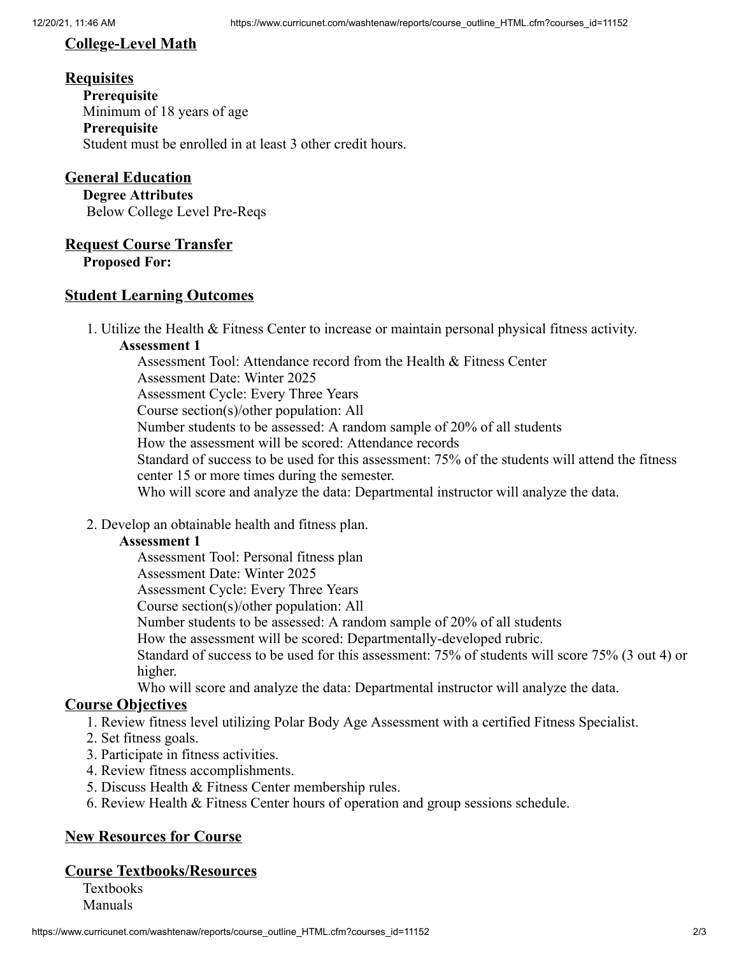## **College-Level Math**

#### **Requisites**

**Prerequisite** Minimum of 18 years of age **Prerequisite** Student must be enrolled in at least 3 other credit hours.

## **General Education**

**Degree Attributes** Below College Level Pre-Reqs

#### **Request Course Transfer**

**Proposed For:**

#### **Student Learning Outcomes**

1. Utilize the Health & Fitness Center to increase or maintain personal physical fitness activity.

#### **Assessment 1**

Assessment Tool: Attendance record from the Health & Fitness Center Assessment Date: Winter 2025 Assessment Cycle: Every Three Years Course section(s)/other population: All Number students to be assessed: A random sample of 20% of all students How the assessment will be scored: Attendance records Standard of success to be used for this assessment: 75% of the students will attend the fitness center 15 or more times during the semester. Who will score and analyze the data: Departmental instructor will analyze the data.

2. Develop an obtainable health and fitness plan.

#### **Assessment 1**

Assessment Tool: Personal fitness plan

Assessment Date: Winter 2025

Assessment Cycle: Every Three Years

Course section(s)/other population: All

Number students to be assessed: A random sample of 20% of all students

How the assessment will be scored: Departmentally-developed rubric.

Standard of success to be used for this assessment: 75% of students will score 75% (3 out 4) or higher.

Who will score and analyze the data: Departmental instructor will analyze the data.

#### **Course Objectives**

1. Review fitness level utilizing Polar Body Age Assessment with a certified Fitness Specialist.

- 2. Set fitness goals.
- 3. Participate in fitness activities.
- 4. Review fitness accomplishments.
- 5. Discuss Health & Fitness Center membership rules.
- 6. Review Health & Fitness Center hours of operation and group sessions schedule.

#### **New Resources for Course**

#### **Course Textbooks/Resources**

Textbooks Manuals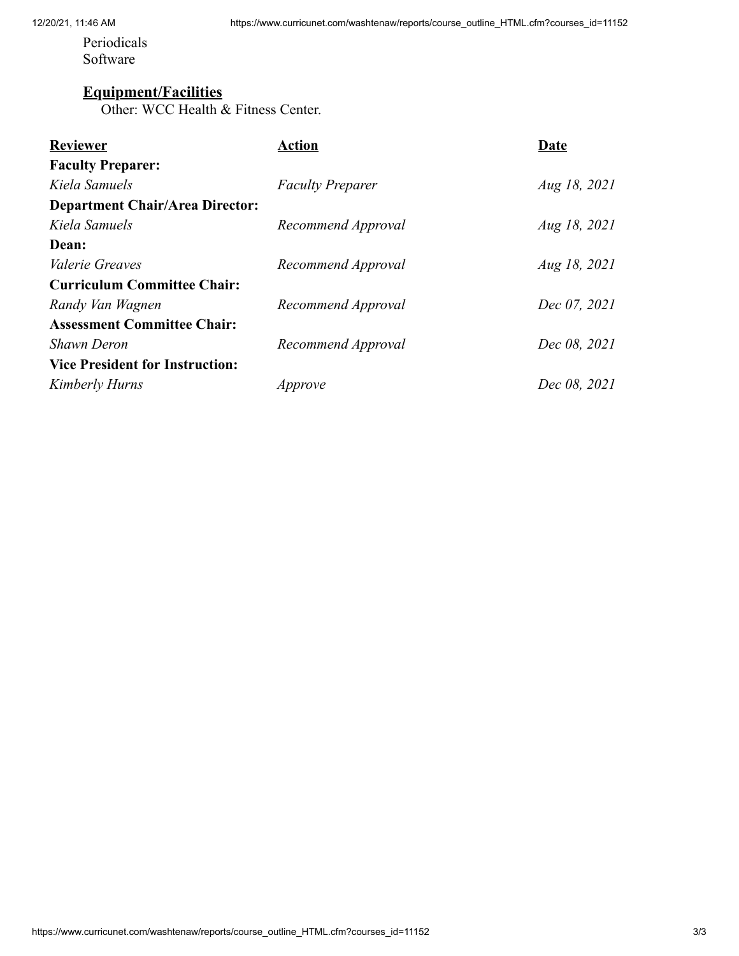Periodicals Software

#### **Equipment/Facilities**

Other: WCC Health & Fitness Center.

| Action                  | Date         |
|-------------------------|--------------|
|                         |              |
| <b>Faculty Preparer</b> | Aug 18, 2021 |
|                         |              |
| Recommend Approval      | Aug 18, 2021 |
|                         |              |
| Recommend Approval      | Aug 18, 2021 |
|                         |              |
| Recommend Approval      | Dec 07, 2021 |
|                         |              |
| Recommend Approval      | Dec 08, 2021 |
|                         |              |
| Approve                 | Dec 08, 2021 |
|                         |              |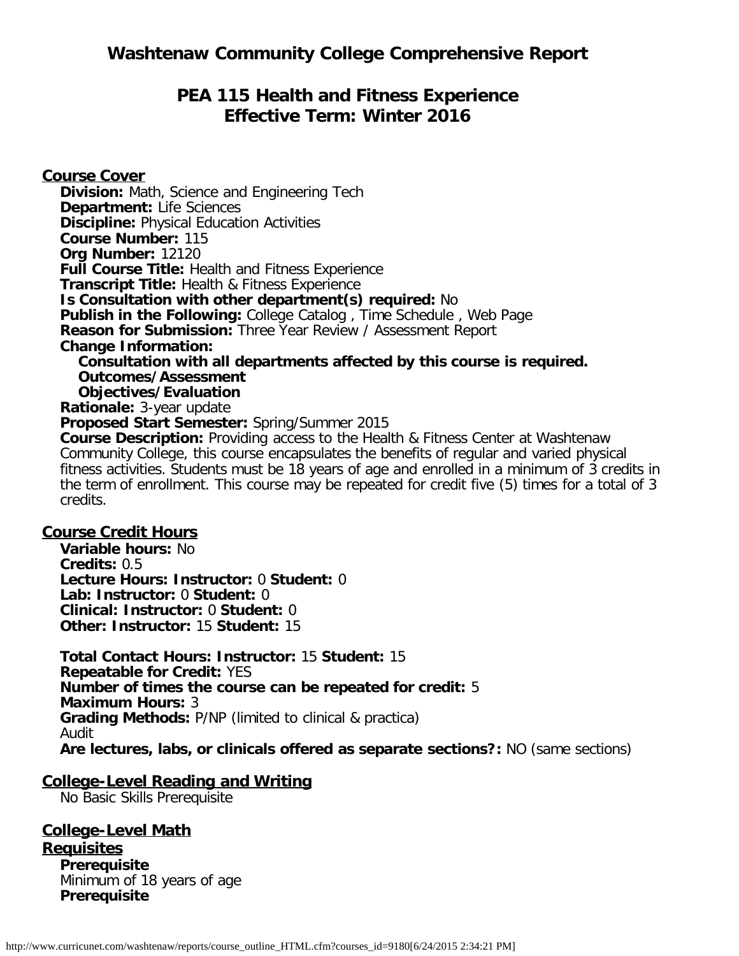# **PEA 115 Health and Fitness Experience Effective Term: Winter 2016**

**Course Cover Division:** Math, Science and Engineering Tech **Department:** Life Sciences **Discipline:** Physical Education Activities **Course Number:** 115 **Org Number:** 12120 **Full Course Title:** Health and Fitness Experience **Transcript Title:** Health & Fitness Experience **Is Consultation with other department(s) required:** No **Publish in the Following:** College Catalog , Time Schedule , Web Page **Reason for Submission:** Three Year Review / Assessment Report **Change Information: Consultation with all departments affected by this course is required. Outcomes/Assessment Objectives/Evaluation Rationale:** 3-year update **Proposed Start Semester:** Spring/Summer 2015 **Course Description:** Providing access to the Health & Fitness Center at Washtenaw Community College, this course encapsulates the benefits of regular and varied physical fitness activities. Students must be 18 years of age and enrolled in a minimum of 3 credits in the term of enrollment. This course may be repeated for credit five (5) times for a total of 3 credits.

#### **Course Credit Hours**

**Variable hours:** No **Credits:** 0.5 **Lecture Hours: Instructor:** 0 **Student:** 0 **Lab: Instructor:** 0 **Student:** 0 **Clinical: Instructor:** 0 **Student:** 0 **Other: Instructor:** 15 **Student:** 15

**Total Contact Hours: Instructor:** 15 **Student:** 15 **Repeatable for Credit:** YES **Number of times the course can be repeated for credit:** 5 **Maximum Hours:** 3 **Grading Methods:** P/NP (limited to clinical & practica) Audit **Are lectures, labs, or clinicals offered as separate sections?:** NO (same sections)

#### **College-Level Reading and Writing**

No Basic Skills Prerequisite

**College-Level Math Requisites Prerequisite** Minimum of 18 years of age **Prerequisite**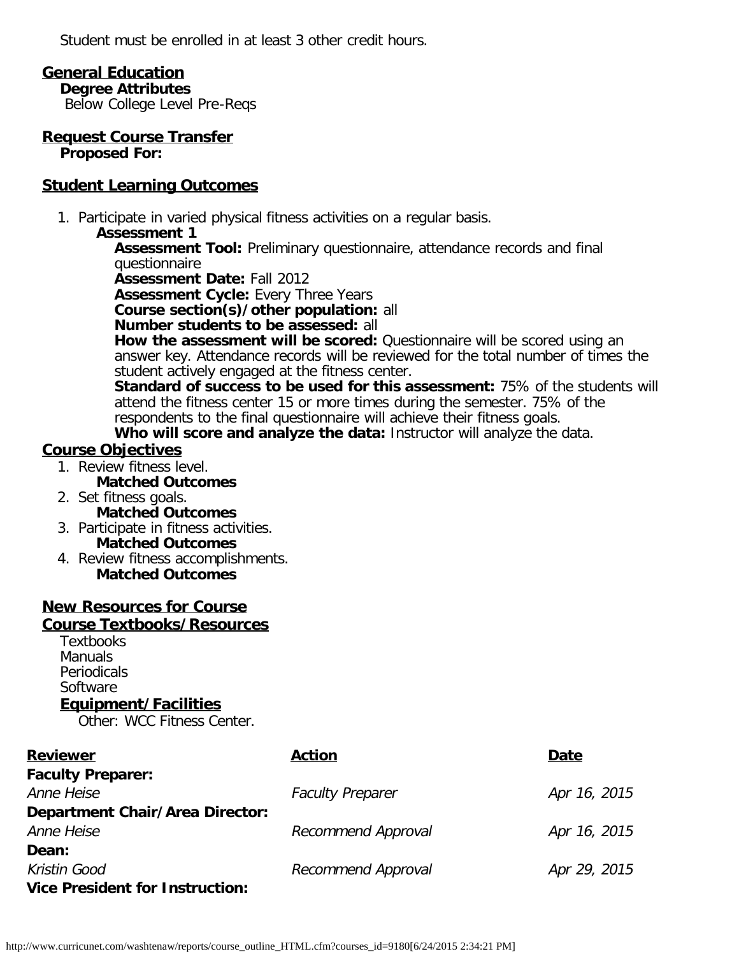Student must be enrolled in at least 3 other credit hours.

## **General Education**

**Degree Attributes**

Below College Level Pre-Reqs

**Request Course Transfer Proposed For:**

## **Student Learning Outcomes**

1. Participate in varied physical fitness activities on a regular basis.

### **Assessment 1**

**Assessment Tool:** Preliminary questionnaire, attendance records and final questionnaire

**Assessment Date:** Fall 2012

**Assessment Cycle: Every Three Years** 

**Course section(s)/other population:** all

#### **Number students to be assessed:** all

**How the assessment will be scored:** Questionnaire will be scored using an answer key. Attendance records will be reviewed for the total number of times the student actively engaged at the fitness center.

**Standard of success to be used for this assessment:** 75% of the students will attend the fitness center 15 or more times during the semester. 75% of the respondents to the final questionnaire will achieve their fitness goals.

**Who will score and analyze the data:** Instructor will analyze the data.

# **Course Objectives**

- 1. Review fitness level. **Matched Outcomes**
- 2. Set fitness goals. **Matched Outcomes**
- 3. Participate in fitness activities. **Matched Outcomes**
- 4. Review fitness accomplishments. **Matched Outcomes**

## **New Resources for Course**

#### **Course Textbooks/Resources**

**Textbooks** Manuals Periodicals **Software** 

## **Equipment/Facilities**

Other: WCC Fitness Center.

| <b>Reviewer</b>                        | <b>Action</b>           | Date         |
|----------------------------------------|-------------------------|--------------|
| <b>Faculty Preparer:</b>               |                         |              |
| Anne Heise                             | <b>Faculty Preparer</b> | Apr 16, 2015 |
| <b>Department Chair/Area Director:</b> |                         |              |
| Anne Heise                             | Recommend Approval      | Apr 16, 2015 |
| Dean:                                  |                         |              |
| Kristin Good                           | Recommend Approval      | Apr 29, 2015 |
| <b>Vice President for Instruction:</b> |                         |              |